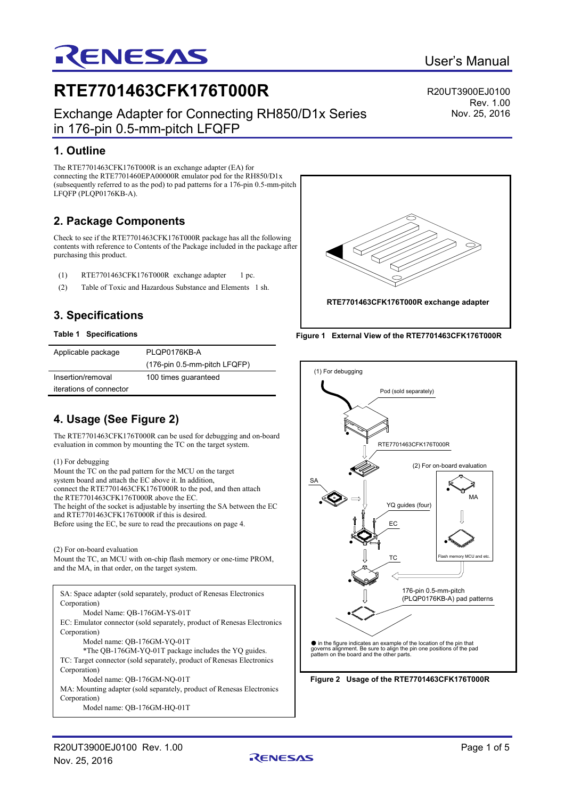# **3. Specifications**

**2. Package Components**

#### **Table 1 Specifications**

**1. Outline**

LFQFP (PLQP0176KB-A).

purchasing this product.

| Applicable package      | PLQP0176KB-A                 |
|-------------------------|------------------------------|
|                         | (176-pin 0.5-mm-pitch LFQFP) |
| Insertion/removal       | 100 times guaranteed         |
| iterations of connector |                              |

**RTE7701463CFK176T000R**

in 176-pin 0.5-mm-pitch LFQFP

RENESAS

The RTE7701463CFK176T000R is an exchange adapter (EA) for connecting the RTE7701460EPA00000R emulator pod for the RH850/D1x (subsequently referred to as the pod) to pad patterns for a 176-pin 0.5-mm-pitch

(1) RTE7701463CFK176T000R exchange adapter 1 pc. (2) Table of Toxic and Hazardous Substance and Elements 1 sh.

Check to see if the RTE7701463CFK176T000R package has all the following contents with reference to Contents of the Package included in the package after

Exchange Adapter for Connecting RH850/D1x Series

## **4. Usage (See Figure 2)**

The RTE7701463CFK176T000R can be used for debugging and on-board evaluation in common by mounting the TC on the target system.

#### (1) For debugging

Mount the TC on the pad pattern for the MCU on the target system board and attach the EC above it. In addition, connect the RTE7701463CFK176T000R to the pod, and then attach the RTE7701463CFK176T000R above the EC. The height of the socket is adjustable by inserting the SA between the EC and RTE7701463CFK176T000R if this is desired. Before using the EC, be sure to read the precautions on page 4.

### (2) For on-board evaluation

Mount the TC, an MCU with on-chip flash memory or one-time PROM, and the MA, in that order, on the target system.

SA: Space adapter (sold separately, product of Renesas Electronics Corporation) Model Name: QB-176GM-YS-01T EC: Emulator connector (sold separately, product of Renesas Electronics Corporation) Model name: QB-176GM-YQ-01T \*The QB-176GM-YQ-01T package includes the YQ guides. TC: Target connector (sold separately, product of Renesas Electronics Corporation) Model name: QB-176GM-NQ-01T MA: Mounting adapter (sold separately, product of Renesas Electronics Corporation) Model name: QB-176GM-HQ-01T

User's Manual

R20UT3900EJ0100 Rev. 1.00 Nov. 25, 2016



**Figure 1 External View of the RTE7701463CFK176T000R**



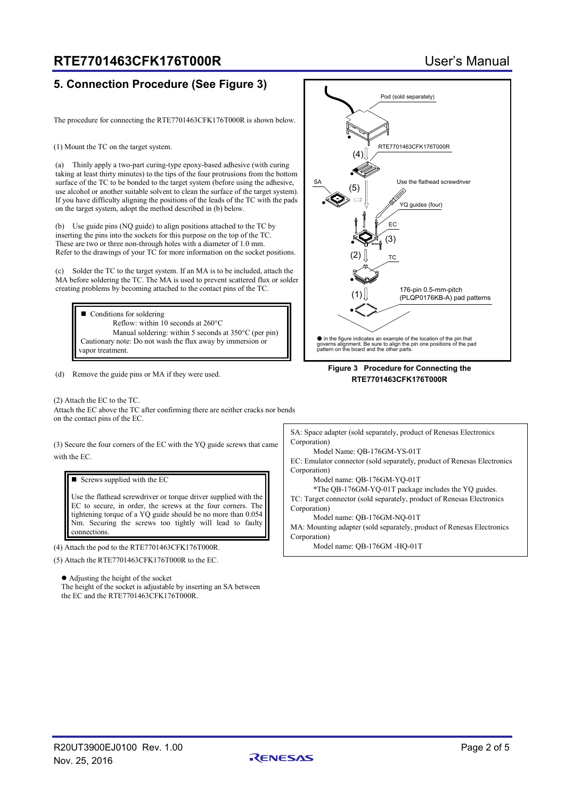### **RTE7701463CFK176T000R** User's Manual

### **5. Connection Procedure (See Figure 3)**

The procedure for connecting the RTE7701463CFK176T000R is shown below.

(1) Mount the TC on the target system.

(a) Thinly apply a two-part curing-type epoxy-based adhesive (with curing taking at least thirty minutes) to the tips of the four protrusions from the bottom surface of the TC to be bonded to the target system (before using the adhesive, use alcohol or another suitable solvent to clean the surface of the target system). If you have difficulty aligning the positions of the leads of the TC with the pads on the target system, adopt the method described in (b) below.

(b) Use guide pins (NQ guide) to align positions attached to the TC by inserting the pins into the sockets for this purpose on the top of the TC. These are two or three non-through holes with a diameter of 1.0 mm. Refer to the drawings of your TC for more information on the socket positions.

(c) Solder the TC to the target system. If an MA is to be included, attach the MA before soldering the TC. The MA is used to prevent scattered flux or solder creating problems by becoming attached to the contact pins of the TC.

■ Conditions for soldering Reflow: within 10 seconds at 260°C Manual soldering: within 5 seconds at 350°C (per pin) Cautionary note: Do not wash the flux away by immersion or vapor treatment.

(d) Remove the guide pins or MA if they were used.

(2) Attach the EC to the TC. Attach the EC above the TC after confirming there are neither cracks nor bends on the contact pins of the EC.

(3) Secure the four corners of the EC with the YQ guide screws that came with the EC.

 $\blacksquare$  Screws supplied with the EC

Use the flathead screwdriver or torque driver supplied with the EC to secure, in order, the screws at the four corners. The tightening torque of a YQ guide should be no more than 0.054 Nm. Securing the screws too tightly will lead to faulty connections.

(4) Attach the pod to the RTE7701463CFK176T000R.

(5) Attach the RTE7701463CFK176T000R to the EC.

 Adjusting the height of the socket The height of the socket is adjustable by inserting an SA between the EC and the RTE7701463CFK176T000R.



#### **Figure 3 Procedure for Connecting the RTE7701463CFK176T000R**

SA: Space adapter (sold separately, product of Renesas Electronics Corporation)

Model Name: QB-176GM-YS-01T

EC: Emulator connector (sold separately, product of Renesas Electronics Corporation)

Model name: QB-176GM-YQ-01T

\*The QB-176GM-YQ-01T package includes the YQ guides. TC: Target connector (sold separately, product of Renesas Electronics Corporation)

Model name: QB-176GM-NQ-01T

MA: Mounting adapter (sold separately, product of Renesas Electronics Corporation)

Model name: QB-176GM -HQ-01T

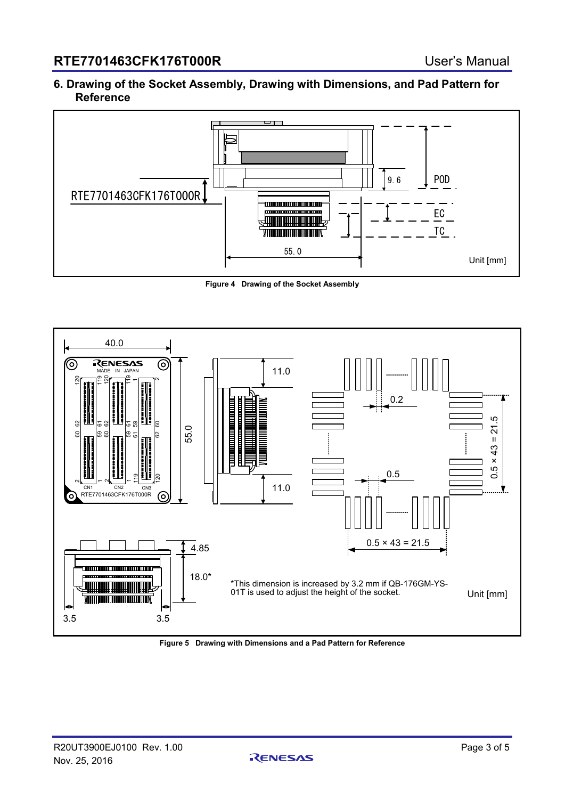### **6. Drawing of the Socket Assembly, Drawing with Dimensions, and Pad Pattern for Reference**



**Figure 4 Drawing of the Socket Assembly**



**Figure 5 Drawing with Dimensions and a Pad Pattern for Reference**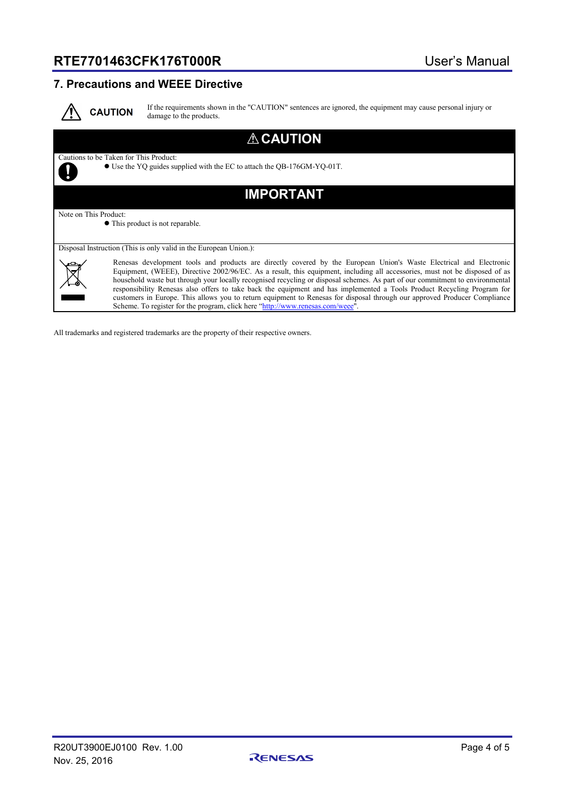## **RTE7701463CFK176T000R** User's Manual

### **7. Precautions and WEEE Directive**



If the requirements shown in the "CAUTION" sentences are ignored, the equipment may cause personal injury or damage to the products.

| <b>ACAUTION</b>                                                                                                                                                                                                                                                                                                                                                                                                                                                                                                                                                                                                                                                                                                               |  |
|-------------------------------------------------------------------------------------------------------------------------------------------------------------------------------------------------------------------------------------------------------------------------------------------------------------------------------------------------------------------------------------------------------------------------------------------------------------------------------------------------------------------------------------------------------------------------------------------------------------------------------------------------------------------------------------------------------------------------------|--|
| Cautions to be Taken for This Product:<br>• Use the YQ guides supplied with the EC to attach the QB-176GM-YQ-01T.                                                                                                                                                                                                                                                                                                                                                                                                                                                                                                                                                                                                             |  |
| <b>IMPORTANT</b>                                                                                                                                                                                                                                                                                                                                                                                                                                                                                                                                                                                                                                                                                                              |  |
| Note on This Product:                                                                                                                                                                                                                                                                                                                                                                                                                                                                                                                                                                                                                                                                                                         |  |
| • This product is not reparable.                                                                                                                                                                                                                                                                                                                                                                                                                                                                                                                                                                                                                                                                                              |  |
| Disposal Instruction (This is only valid in the European Union.):                                                                                                                                                                                                                                                                                                                                                                                                                                                                                                                                                                                                                                                             |  |
| Renesas development tools and products are directly covered by the European Union's Waste Electrical and Electronic<br>Equipment, (WEEE), Directive 2002/96/EC. As a result, this equipment, including all accessories, must not be disposed of as<br>household waste but through your locally recognised recycling or disposal schemes. As part of our commitment to environmental<br>responsibility Renesas also offers to take back the equipment and has implemented a Tools Product Recycling Program for<br>customers in Europe. This allows you to return equipment to Renesas for disposal through our approved Producer Compliance<br>Scheme. To register for the program, click here "http://www.renesas.com/weee". |  |

All trademarks and registered trademarks are the property of their respective owners.